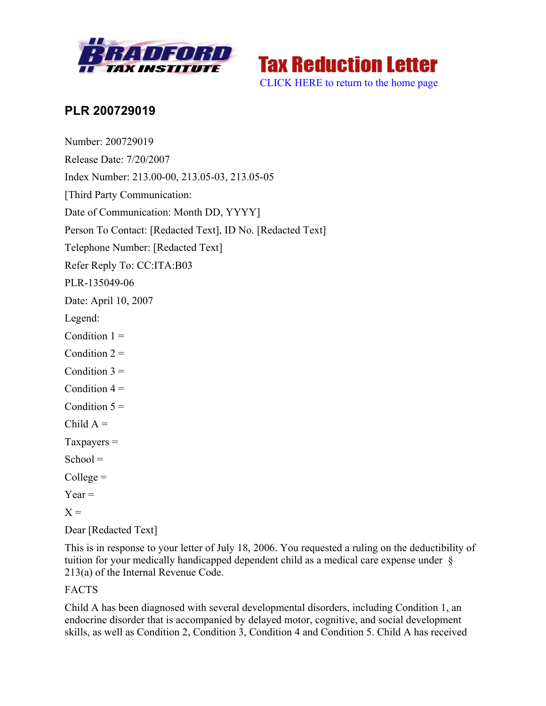



## **PLR 200729019**

Number: 200729019 Release Date: 7/20/2007 Index Number: 213.00-00, 213.05-03, 213.05-05 [Third Party Communication: Date of Communication: Month DD, YYYY] Person To Contact: [Redacted Text], ID No. [Redacted Text] Telephone Number: [Redacted Text] Refer Reply To: CC:ITA:B03 PLR-135049-06 Date: April 10, 2007 Legend: Condition  $1 =$ Condition  $2 =$ Condition  $3 =$ Condition  $4 =$ Condition  $5 =$ Child  $A =$  $T$ axpayers  $=$  $School =$  $Collect =$  $Year =$  $X =$ 

Dear [Redacted Text]

This is in response to your letter of July 18, 2006. You requested a ruling on the deductibility of tuition for your medically handicapped dependent child as a medical care expense under § 213(a) of the Internal Revenue Code.

## FACTS

Child A has been diagnosed with several developmental disorders, including Condition 1, an endocrine disorder that is accompanied by delayed motor, cognitive, and social development skills, as well as Condition 2, Condition 3, Condition 4 and Condition 5. Child A has received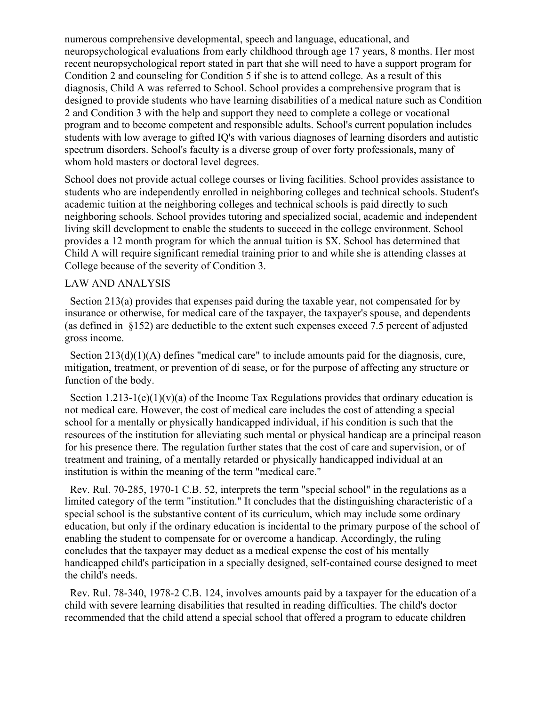numerous comprehensive developmental, speech and language, educational, and neuropsychological evaluations from early childhood through age 17 years, 8 months. Her most recent neuropsychological report stated in part that she will need to have a support program for Condition 2 and counseling for Condition 5 if she is to attend college. As a result of this diagnosis, Child A was referred to School. School provides a comprehensive program that is designed to provide students who have learning disabilities of a medical nature such as Condition 2 and Condition 3 with the help and support they need to complete a college or vocational program and to become competent and responsible adults. School's current population includes students with low average to gifted IQ's with various diagnoses of learning disorders and autistic spectrum disorders. School's faculty is a diverse group of over forty professionals, many of whom hold masters or doctoral level degrees.

School does not provide actual college courses or living facilities. School provides assistance to students who are independently enrolled in neighboring colleges and technical schools. Student's academic tuition at the neighboring colleges and technical schools is paid directly to such neighboring schools. School provides tutoring and specialized social, academic and independent living skill development to enable the students to succeed in the college environment. School provides a 12 month program for which the annual tuition is \$X. School has determined that Child A will require significant remedial training prior to and while she is attending classes at College because of the severity of Condition 3.

## LAW AND ANALYSIS

 Section 213(a) provides that expenses paid during the taxable year, not compensated for by insurance or otherwise, for medical care of the taxpayer, the taxpayer's spouse, and dependents (as defined in §152) are deductible to the extent such expenses exceed 7.5 percent of adjusted gross income.

Section 213(d)(1)(A) defines "medical care" to include amounts paid for the diagnosis, cure, mitigation, treatment, or prevention of di sease, or for the purpose of affecting any structure or function of the body.

Section 1.213-1(e)(1)(y)(a) of the Income Tax Regulations provides that ordinary education is not medical care. However, the cost of medical care includes the cost of attending a special school for a mentally or physically handicapped individual, if his condition is such that the resources of the institution for alleviating such mental or physical handicap are a principal reason for his presence there. The regulation further states that the cost of care and supervision, or of treatment and training, of a mentally retarded or physically handicapped individual at an institution is within the meaning of the term "medical care."

 Rev. Rul. 70-285, 1970-1 C.B. 52, interprets the term "special school" in the regulations as a limited category of the term "institution." It concludes that the distinguishing characteristic of a special school is the substantive content of its curriculum, which may include some ordinary education, but only if the ordinary education is incidental to the primary purpose of the school of enabling the student to compensate for or overcome a handicap. Accordingly, the ruling concludes that the taxpayer may deduct as a medical expense the cost of his mentally handicapped child's participation in a specially designed, self-contained course designed to meet the child's needs.

 Rev. Rul. 78-340, 1978-2 C.B. 124, involves amounts paid by a taxpayer for the education of a child with severe learning disabilities that resulted in reading difficulties. The child's doctor recommended that the child attend a special school that offered a program to educate children